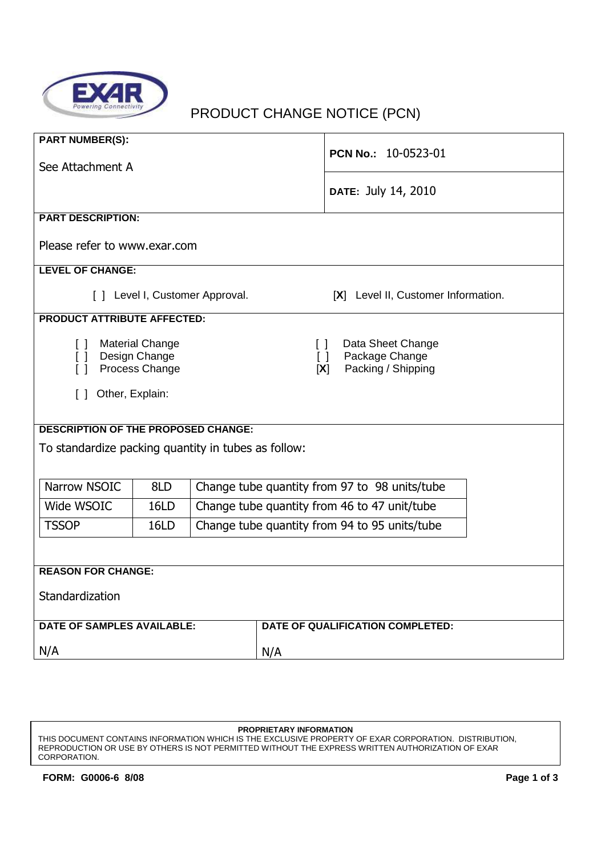

# PRODUCT CHANGE NOTICE (PCN)

| <b>PART NUMBER(S):</b><br>See Attachment A                                        |             |                                               |                         | PCN No.: 10-0523-01                                       |  |  |
|-----------------------------------------------------------------------------------|-------------|-----------------------------------------------|-------------------------|-----------------------------------------------------------|--|--|
|                                                                                   |             |                                               |                         | DATE: July 14, 2010                                       |  |  |
| <b>PART DESCRIPTION:</b>                                                          |             |                                               |                         |                                                           |  |  |
| Please refer to www.exar.com                                                      |             |                                               |                         |                                                           |  |  |
| <b>LEVEL OF CHANGE:</b>                                                           |             |                                               |                         |                                                           |  |  |
| [ ] Level I, Customer Approval.<br>[X] Level II, Customer Information.            |             |                                               |                         |                                                           |  |  |
| <b>PRODUCT ATTRIBUTE AFFECTED:</b>                                                |             |                                               |                         |                                                           |  |  |
| <b>Material Change</b><br>$\Box$<br>[ ] Design Change<br>$\Box$<br>Process Change |             |                                               | $\Box$<br>$\Box$<br>[X] | Data Sheet Change<br>Package Change<br>Packing / Shipping |  |  |
| [ ] Other, Explain:                                                               |             |                                               |                         |                                                           |  |  |
| <b>DESCRIPTION OF THE PROPOSED CHANGE:</b>                                        |             |                                               |                         |                                                           |  |  |
| To standardize packing quantity in tubes as follow:                               |             |                                               |                         |                                                           |  |  |
| Narrow NSOIC<br>8LD<br>Change tube quantity from 97 to 98 units/tube              |             |                                               |                         |                                                           |  |  |
| Wide WSOIC                                                                        | 16LD        | Change tube quantity from 46 to 47 unit/tube  |                         |                                                           |  |  |
| <b>TSSOP</b>                                                                      | <b>16LD</b> | Change tube quantity from 94 to 95 units/tube |                         |                                                           |  |  |
|                                                                                   |             |                                               |                         |                                                           |  |  |
| <b>REASON FOR CHANGE:</b>                                                         |             |                                               |                         |                                                           |  |  |
| Standardization                                                                   |             |                                               |                         |                                                           |  |  |
| <b>DATE OF SAMPLES AVAILABLE:</b>                                                 |             |                                               |                         | DATE OF QUALIFICATION COMPLETED:                          |  |  |
| N/A                                                                               |             |                                               | N/A                     |                                                           |  |  |

THIS DOCUMENT CONTAINS INFORMATION WHICH IS THE EXCLUSIVE PROPERTY OF EXAR CORPORATION. DISTRIBUTION, REPRODUCTION OR USE BY OTHERS IS NOT PERMITTED WITHOUT THE EXPRESS WRITTEN AUTHORIZATION OF EXAR CORPORATION.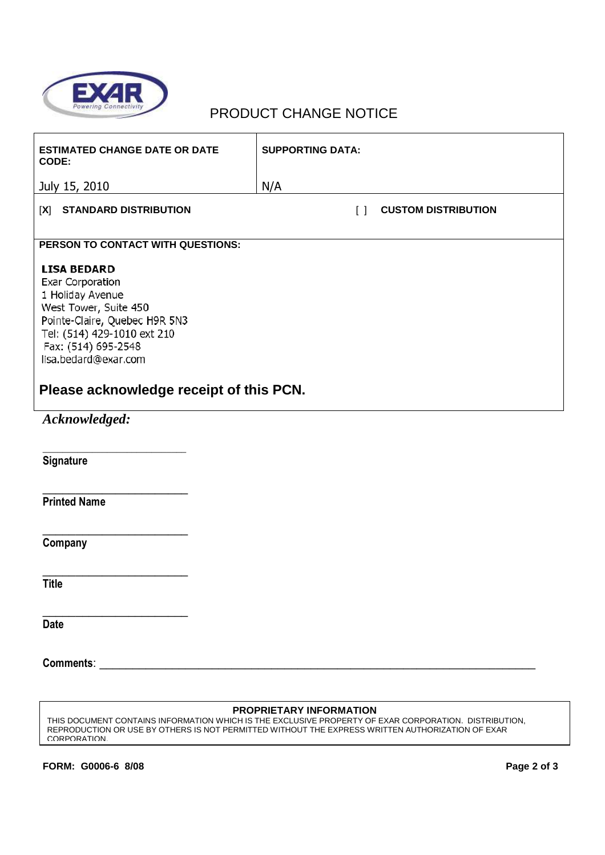

### PRODUCT CHANGE NOTICE

| <b>ESTIMATED CHANGE DATE OR DATE</b><br>CODE:                                                                                                                                                      | <b>SUPPORTING DATA:</b>              |  |  |  |  |
|----------------------------------------------------------------------------------------------------------------------------------------------------------------------------------------------------|--------------------------------------|--|--|--|--|
| July 15, 2010                                                                                                                                                                                      | N/A                                  |  |  |  |  |
| [X] STANDARD DISTRIBUTION                                                                                                                                                                          | <b>CUSTOM DISTRIBUTION</b><br>$\Box$ |  |  |  |  |
| PERSON TO CONTACT WITH QUESTIONS:                                                                                                                                                                  |                                      |  |  |  |  |
| <b>LISA BEDARD</b><br>Exar Corporation<br>1 Holiday Avenue<br>West Tower, Suite 450<br>Pointe-Claire, Quebec H9R 5N3<br>Tel: (514) 429-1010 ext 210<br>Fax: (514) 695-2548<br>lisa.bedard@exar.com |                                      |  |  |  |  |
| Please acknowledge receipt of this PCN.                                                                                                                                                            |                                      |  |  |  |  |
| Acknowledged:                                                                                                                                                                                      |                                      |  |  |  |  |
| <b>Signature</b>                                                                                                                                                                                   |                                      |  |  |  |  |
| <b>Printed Name</b>                                                                                                                                                                                |                                      |  |  |  |  |
|                                                                                                                                                                                                    |                                      |  |  |  |  |
| Company                                                                                                                                                                                            |                                      |  |  |  |  |
|                                                                                                                                                                                                    |                                      |  |  |  |  |
| <b>Title</b>                                                                                                                                                                                       |                                      |  |  |  |  |
| <b>Date</b>                                                                                                                                                                                        |                                      |  |  |  |  |
|                                                                                                                                                                                                    |                                      |  |  |  |  |

#### **PROPRIETARY INFORMATION**

THIS DOCUMENT CONTAINS INFORMATION WHICH IS THE EXCLUSIVE PROPERTY OF EXAR CORPORATION. DISTRIBUTION, REPRODUCTION OR USE BY OTHERS IS NOT PERMITTED WITHOUT THE EXPRESS WRITTEN AUTHORIZATION OF EXAR CORPORATION.